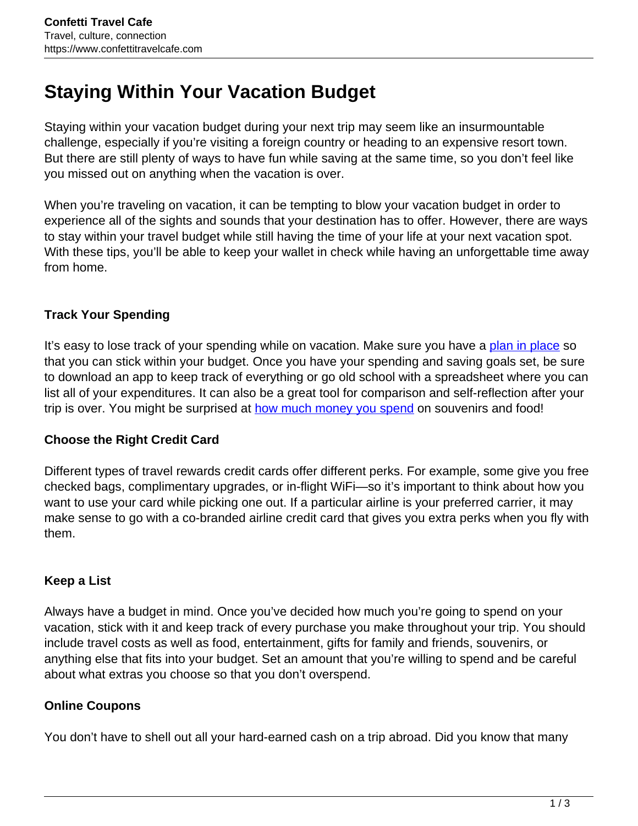# **Staying Within Your Vacation Budget**

Staying within your vacation budget during your next trip may seem like an insurmountable challenge, especially if you're visiting a foreign country or heading to an expensive resort town. But there are still plenty of ways to have fun while saving at the same time, so you don't feel like you missed out on anything when the vacation is over.

When you're traveling on vacation, it can be tempting to blow your vacation budget in order to experience all of the sights and sounds that your destination has to offer. However, there are ways to stay within your travel budget while still having the time of your life at your next vacation spot. With these tips, you'll be able to keep your wallet in check while having an unforgettable time away from home.

## **Track Your Spending**

It's easy to lose track of your spending while on vacation. Make sure you have a [plan in place](https://www.washingtonpost.com/lifestyle/travel/how-to-set-and-stick-to-a-vacation-budget/2020/06/24/a3980212-b49b-11ea-a8da-693df3d7674a_story.html) so that you can stick within your budget. Once you have your spending and saving goals set, be sure to download an app to keep track of everything or go old school with a spreadsheet where you can list all of your expenditures. It can also be a great tool for comparison and self-reflection after your trip is over. You might be surprised at how much money you spend on souvenirs and food!

#### **Choose the Right Credit Card**

Different types of travel rewards credit cards offer different perks. For example, some give you free checked bags, complimentary upgrades, or in-flight WiFi—so it's important to think about how you want to use your card while picking one out. If a particular airline is your preferred carrier, it may make sense to go with a co-branded airline credit card that gives you extra perks when you fly with them.

#### **Keep a List**

Always have a budget in mind. Once you've decided how much you're going to spend on your vacation, stick with it and keep track of every purchase you make throughout your trip. You should include travel costs as well as food, entertainment, gifts for family and friends, souvenirs, or anything else that fits into your budget. Set an amount that you're willing to spend and be careful about what extras you choose so that you don't overspend.

# **Online Coupons**

You don't have to shell out all your hard-earned cash on a trip abroad. Did you know that many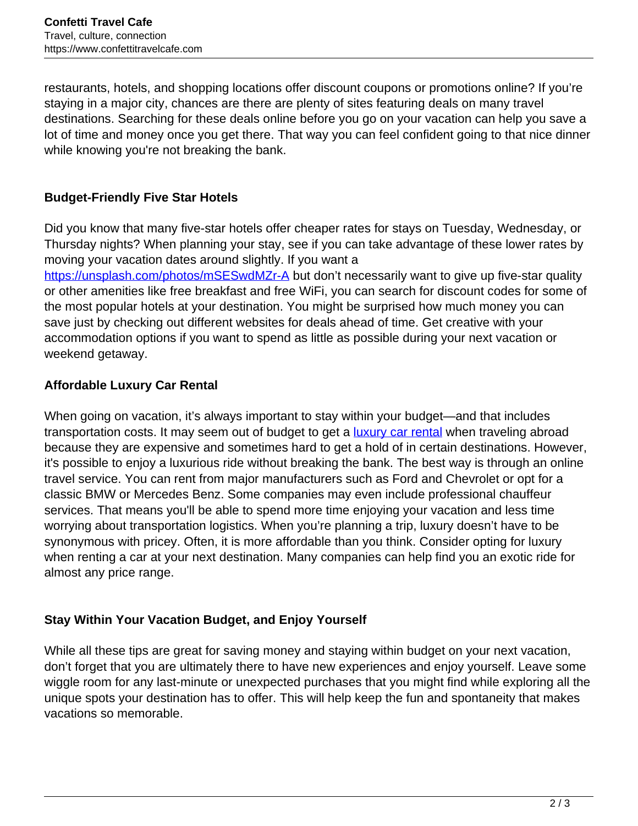restaurants, hotels, and shopping locations offer discount coupons or promotions online? If you're staying in a major city, chances are there are plenty of sites featuring deals on many travel destinations. Searching for these deals online before you go on your vacation can help you save a lot of time and money once you get there. That way you can feel confident going to that nice dinner while knowing you're not breaking the bank.

# **Budget-Friendly Five Star Hotels**

Did you know that many five-star hotels offer cheaper rates for stays on Tuesday, Wednesday, or Thursday nights? When planning your stay, see if you can take advantage of these lower rates by moving your vacation dates around slightly. If you want a https://unsplash.com/photos/mSESwdMZr-A but don't necessarily want to give up five-star quality or other amenities like free breakfast and free WiFi, you can search for discount codes for some of the most popular hotels at your destination. You might be surprised how much money you can

save just by checking out different websites for deals ahead of time. Get creative with your accommodation options if you want to spend as little as possible during your next vacation or weekend getaway.

## **Affordable Luxury Car Rental**

When going on vacation, it's always important to stay within your budget—and that includes transportation costs. It may seem out of budget to get a **luxury car rental** when traveling abroad because they are expensive and sometimes hard to get a hold of in certain destinations. However, it's possible to enjoy a luxurious ride without breaking the bank. The best way is through an online travel service. You can rent from major manufacturers such as Ford and Chevrolet or opt for a classic BMW or Mercedes Benz. Some companies may even include professional chauffeur services. That means you'll be able to spend more time enjoying your vacation and less time worrying about transportation logistics. When you're planning a trip, luxury doesn't have to be synonymous with pricey. Often, it is more affordable than you think. Consider opting for luxury when renting a car at your next destination. Many companies can help find you an exotic ride for almost any price range.

#### **Stay Within Your Vacation Budget, and Enjoy Yourself**

While all these tips are great for saving money and staying within budget on your next vacation, don't forget that you are ultimately there to have new experiences and enjoy yourself. Leave some wiggle room for any last-minute or unexpected purchases that you might find while exploring all the unique spots your destination has to offer. This will help keep the fun and spontaneity that makes vacations so memorable.